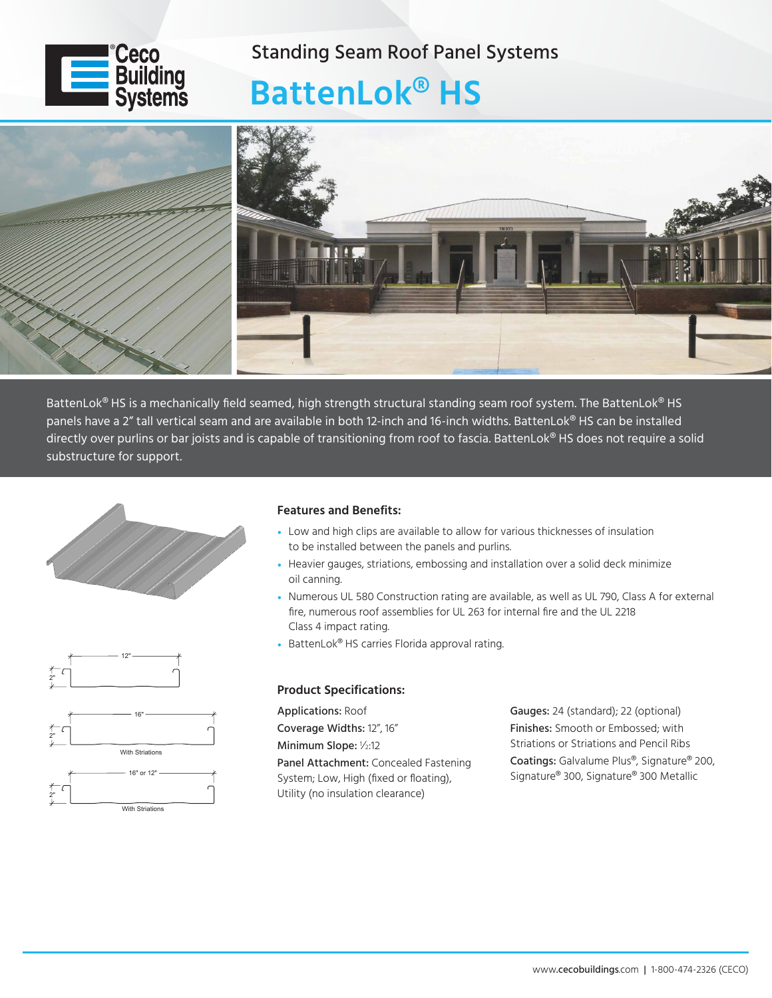

### Standing Seam Roof Panel Systems

# **BattenLok® HS**



BattenLok<sup>®</sup> HS is a mechanically field seamed, high strength structural standing seam roof system. The BattenLok<sup>®</sup> HS panels have a 2" tall vertical seam and are available in both 12-inch and 16-inch widths. BattenLok® HS can be installed directly over purlins or bar joists and is capable of transitioning from roof to fascia. BattenLok® HS does not require a solid substructure for support.





#### **Features and Benefits:**

- Low and high clips are available to allow for various thicknesses of insulation to be installed between the panels and purlins.
- Heavier gauges, striations, embossing and installation over a solid deck minimize oil canning.
- Numerous UL 580 Construction rating are available, as well as UL 790, Class A for external fire, numerous roof assemblies for UL 263 for internal fire and the UL 2218 Class 4 impact rating.
- BattenLok® HS carries Florida approval rating.

#### **Product Specifications:**

Applications: Roof Coverage Widths: 12", 16" Minimum Slope: 1/2:12 Panel Attachment: Concealed Fastening System; Low, High (fixed or floating), Utility (no insulation clearance)

Gauges: 24 (standard); 22 (optional) Finishes: Smooth or Embossed; with Striations or Striations and Pencil Ribs Coatings: Galvalume Plus®, Signature® 200, Signature® 300, Signature® 300 Metallic